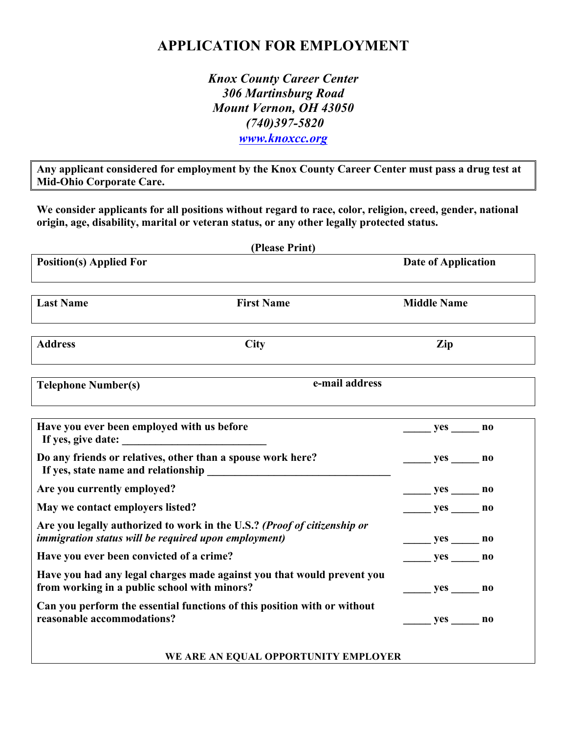# **APPLICATION FOR EMPLOYMENT**

*Knox County Career Center 306 Martinsburg Road Mount Vernon, OH 43050 (740)397-5820 www.knoxcc.org*

**Any applicant considered for employment by the Knox County Career Center must pass a drug test at Mid-Ohio Corporate Care.** 

**We consider applicants for all positions without regard to race, color, religion, creed, gender, national origin, age, disability, marital or veteran status, or any other legally protected status.** 

| (Please Print)                                                                                                                          |                                                                        |                            |  |
|-----------------------------------------------------------------------------------------------------------------------------------------|------------------------------------------------------------------------|----------------------------|--|
| <b>Position(s) Applied For</b>                                                                                                          |                                                                        | <b>Date of Application</b> |  |
| <b>Last Name</b>                                                                                                                        | <b>First Name</b>                                                      | <b>Middle Name</b>         |  |
| <b>Address</b>                                                                                                                          | <b>City</b>                                                            | Zip                        |  |
| e-mail address<br><b>Telephone Number(s)</b>                                                                                            |                                                                        |                            |  |
| Have you ever been employed with us before                                                                                              |                                                                        |                            |  |
| Do any friends or relatives, other than a spouse work here?                                                                             |                                                                        | $yes$ no                   |  |
| Are you currently employed?                                                                                                             |                                                                        |                            |  |
| May we contact employers listed?                                                                                                        |                                                                        |                            |  |
| Are you legally authorized to work in the U.S.? (Proof of citizenship or<br><i>immigration status will be required upon employment)</i> |                                                                        | _________ yes _______ no   |  |
| Have you ever been convicted of a crime?                                                                                                |                                                                        |                            |  |
| from working in a public school with minors?                                                                                            | Have you had any legal charges made against you that would prevent you |                            |  |
| Can you perform the essential functions of this position with or without<br>reasonable accommodations?                                  |                                                                        | yes no                     |  |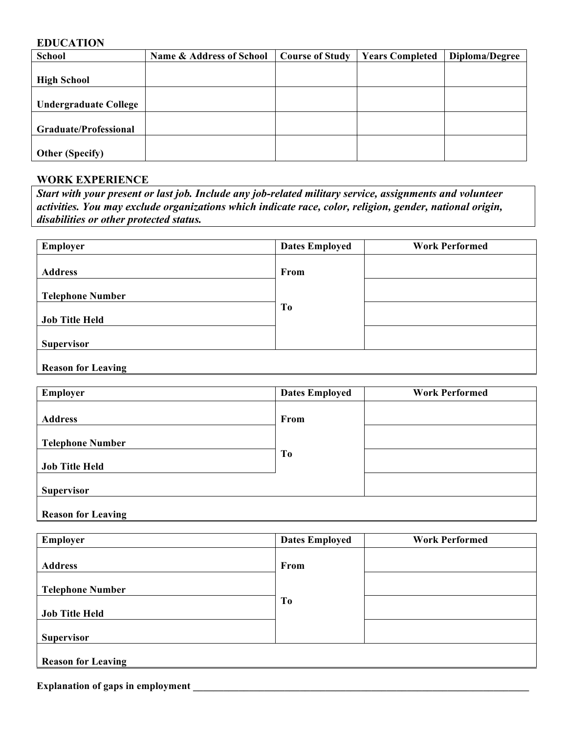### **EDUCATION**

| <b>School</b>                | <b>Name &amp; Address of School</b> | <b>Course of Study</b> | <b>Years Completed</b> | Diploma/Degree |
|------------------------------|-------------------------------------|------------------------|------------------------|----------------|
|                              |                                     |                        |                        |                |
| <b>High School</b>           |                                     |                        |                        |                |
|                              |                                     |                        |                        |                |
| <b>Undergraduate College</b> |                                     |                        |                        |                |
|                              |                                     |                        |                        |                |
| <b>Graduate/Professional</b> |                                     |                        |                        |                |
|                              |                                     |                        |                        |                |
| <b>Other (Specify)</b>       |                                     |                        |                        |                |

#### **WORK EXPERIENCE**

*Start with your present or last job. Include any job-related military service, assignments and volunteer activities. You may exclude organizations which indicate race, color, religion, gender, national origin, disabilities or other protected status.* 

| Employer                | <b>Dates Employed</b> | <b>Work Performed</b> |
|-------------------------|-----------------------|-----------------------|
| <b>Address</b>          | From                  |                       |
| <b>Telephone Number</b> |                       |                       |
| <b>Job Title Held</b>   | T <sub>0</sub>        |                       |
| <b>Supervisor</b>       |                       |                       |
|                         |                       |                       |

#### **Reason for Leaving**

| Employer                  | <b>Dates Employed</b> | <b>Work Performed</b> |
|---------------------------|-----------------------|-----------------------|
|                           |                       |                       |
| <b>Address</b>            | From                  |                       |
| <b>Telephone Number</b>   |                       |                       |
|                           | To                    |                       |
| <b>Job Title Held</b>     |                       |                       |
| <b>Supervisor</b>         |                       |                       |
| <b>Reason for Leaving</b> |                       |                       |

| From |                |
|------|----------------|
|      |                |
|      |                |
|      |                |
|      |                |
|      | T <sub>0</sub> |

**Explanation of gaps in employment**